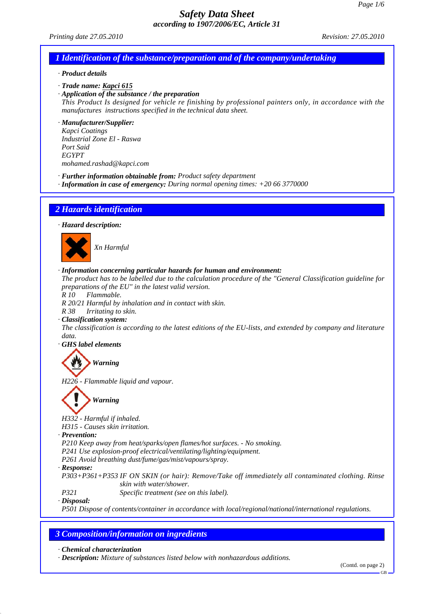*Printing date 27.05.2010 Revision: 27.05.2010*

## *1 Identification of the substance/preparation and of the company/undertaking*

#### *· Product details*

*· Trade name: Kapci 615*

*· Application of the substance / the preparation*

*This Product Is designed for vehicle re finishing by professional painters only, in accordance with the manufactures instructions specified in the technical data sheet.*

*· Manufacturer/Supplier: Kapci Coatings*

*Industrial Zone El - Raswa Port Said EGYPT mohamed.rashad@kapci.com*

- *· Further information obtainable from: Product safety department*
- *· Information in case of emergency: During normal opening times: +20 66 3770000*

#### *2 Hazards identification*

*· Hazard description:*



#### *· Information concerning particular hazards for human and environment:*

*The product has to be labelled due to the calculation procedure of the "General Classification guideline for preparations of the EU" in the latest valid version.*

*R 10 Flammable.*

*R 20/21 Harmful by inhalation and in contact with skin.*

*R 38 Irritating to skin.*

#### *· Classification system:*

*The classification is according to the latest editions of the EU-lists, and extended by company and literature data.*

*· GHS label elements*

*Warning*

*H226 - Flammable liquid and vapour.*

# *Warning*

*H332 - Harmful if inhaled.*

*H315 - Causes skin irritation.*

*· Prevention:*

*P210 Keep away from heat/sparks/open flames/hot surfaces. - No smoking.*

*P241 Use explosion-proof electrical/ventilating/lighting/equipment.*

*P261 Avoid breathing dust/fume/gas/mist/vapours/spray.*

*· Response:*

*P303+P361+P353 IF ON SKIN (or hair): Remove/Take off immediately all contaminated clothing. Rinse skin with water/shower.*

*P321 Specific treatment (see on this label).*

*· Disposal:*

*P501 Dispose of contents/container in accordance with local/regional/national/international regulations.*

## *3 Composition/information on ingredients*

*· Chemical characterization*

*· Description: Mixture of substances listed below with nonhazardous additions.*

(Contd. on page 2)

GB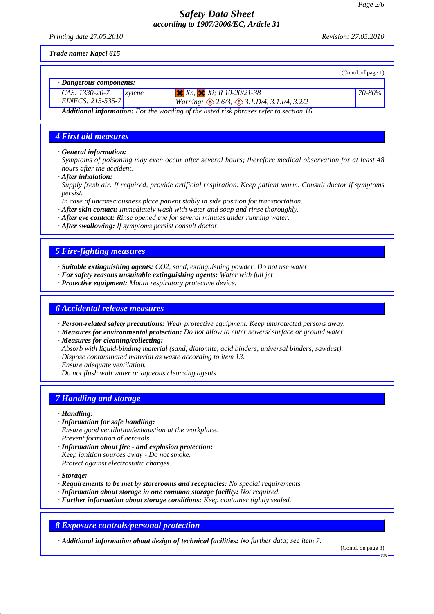*Printing date 27.05.2010 Revision: 27.05.2010*

*Trade name: Kapci 615*

|                                                                                                        |       |                                                                           | (Contd. of page 1) |
|--------------------------------------------------------------------------------------------------------|-------|---------------------------------------------------------------------------|--------------------|
| $\cdot$ Dangerous components:                                                                          |       |                                                                           |                    |
| CAS: 1330-20-7                                                                                         | $x\n$ | $X_n$ , $X_i$ ; R 10-20/21-38                                             | $170 - 80\%$       |
| $EINES: 215-535-7$                                                                                     |       | Warning: $\bigotimes 2.6/3$ ; $\bigotimes 3.1 \cdot D/4$ , 3.1.1/4, 3.2/2 |                    |
| $\cdot$ <b>Additional information:</b> For the wording of the listed risk phrases refer to section 16. |       |                                                                           |                    |

# *4 First aid measures*

*· General information:*

*Symptoms of poisoning may even occur after several hours; therefore medical observation for at least 48 hours after the accident.*

*· After inhalation:*

*Supply fresh air. If required, provide artificial respiration. Keep patient warm. Consult doctor if symptoms persist.*

*In case of unconsciousness place patient stably in side position for transportation.*

- *· After skin contact: Immediately wash with water and soap and rinse thoroughly.*
- *· After eye contact: Rinse opened eye for several minutes under running water.*
- *· After swallowing: If symptoms persist consult doctor.*

## *5 Fire-fighting measures*

- *· Suitable extinguishing agents: CO2, sand, extinguishing powder. Do not use water.*
- *· For safety reasons unsuitable extinguishing agents: Water with full jet*
- *· Protective equipment: Mouth respiratory protective device.*

#### *6 Accidental release measures*

*· Person-related safety precautions: Wear protective equipment. Keep unprotected persons away.*

- *· Measures for environmental protection: Do not allow to enter sewers/ surface or ground water.*
- *· Measures for cleaning/collecting:*
- *Absorb with liquid-binding material (sand, diatomite, acid binders, universal binders, sawdust). Dispose contaminated material as waste according to item 13.*
- *Ensure adequate ventilation.*

*Do not flush with water or aqueous cleansing agents*

## *7 Handling and storage*

*· Handling:*

- *· Information for safe handling: Ensure good ventilation/exhaustion at the workplace. Prevent formation of aerosols.*
- *· Information about fire and explosion protection: Keep ignition sources away - Do not smoke. Protect against electrostatic charges.*
- *· Storage:*
- *· Requirements to be met by storerooms and receptacles: No special requirements.*
- *· Information about storage in one common storage facility: Not required.*
- *· Further information about storage conditions: Keep container tightly sealed.*

## *8 Exposure controls/personal protection*

*· Additional information about design of technical facilities: No further data; see item 7.*

(Contd. on page 3)

GB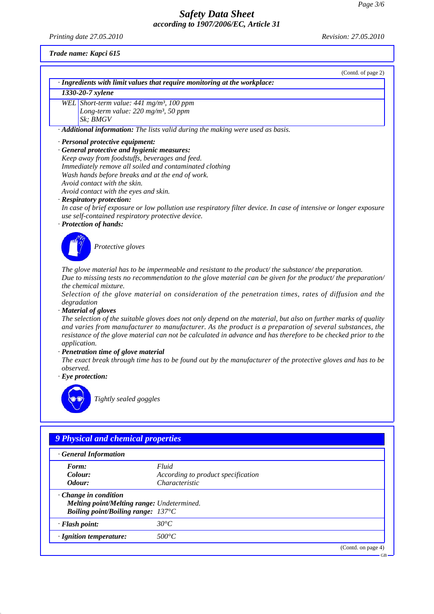*Printing date 27.05.2010 Revision: 27.05.2010*

*Trade name: Kapci 615*

|           | (Contd. of page 2)                                                                                                                                                                                                                                                                                                                                                                                                                                                                                              |
|-----------|-----------------------------------------------------------------------------------------------------------------------------------------------------------------------------------------------------------------------------------------------------------------------------------------------------------------------------------------------------------------------------------------------------------------------------------------------------------------------------------------------------------------|
|           | · Ingredients with limit values that require monitoring at the workplace:                                                                                                                                                                                                                                                                                                                                                                                                                                       |
|           | 1330-20-7 xylene                                                                                                                                                                                                                                                                                                                                                                                                                                                                                                |
|           | WEL Short-term value: 441 mg/m <sup>3</sup> , 100 ppm                                                                                                                                                                                                                                                                                                                                                                                                                                                           |
|           | Long-term value: $220$ mg/m <sup>3</sup> , 50 ppm                                                                                                                                                                                                                                                                                                                                                                                                                                                               |
|           | Sk: BMGV                                                                                                                                                                                                                                                                                                                                                                                                                                                                                                        |
|           | · Additional information: The lists valid during the making were used as basis.                                                                                                                                                                                                                                                                                                                                                                                                                                 |
|           | · Personal protective equipment:                                                                                                                                                                                                                                                                                                                                                                                                                                                                                |
|           | · General protective and hygienic measures:                                                                                                                                                                                                                                                                                                                                                                                                                                                                     |
|           | Keep away from foodstuffs, beverages and feed.                                                                                                                                                                                                                                                                                                                                                                                                                                                                  |
|           | Immediately remove all soiled and contaminated clothing                                                                                                                                                                                                                                                                                                                                                                                                                                                         |
|           | Wash hands before breaks and at the end of work.                                                                                                                                                                                                                                                                                                                                                                                                                                                                |
|           | Avoid contact with the skin.                                                                                                                                                                                                                                                                                                                                                                                                                                                                                    |
|           | Avoid contact with the eyes and skin.                                                                                                                                                                                                                                                                                                                                                                                                                                                                           |
|           | · Respiratory protection:                                                                                                                                                                                                                                                                                                                                                                                                                                                                                       |
|           | In case of brief exposure or low pollution use respiratory filter device. In case of intensive or longer exposure                                                                                                                                                                                                                                                                                                                                                                                               |
|           | use self-contained respiratory protective device.                                                                                                                                                                                                                                                                                                                                                                                                                                                               |
|           | · Protection of hands:                                                                                                                                                                                                                                                                                                                                                                                                                                                                                          |
|           | Protective gloves                                                                                                                                                                                                                                                                                                                                                                                                                                                                                               |
|           | The glove material has to be impermeable and resistant to the product/the substance/the preparation.<br>Due to missing tests no recommendation to the glove material can be given for the product/ the preparation/<br>the chemical mixture.<br>Selection of the glove material on consideration of the penetration times, rates of diffusion and the<br>degradation<br>· Material of gloves<br>The selection of the suitable gloves does not only depend on the material, but also on further marks of quality |
|           | and varies from manufacturer to manufacturer. As the product is a preparation of several substances, the<br>resistance of the glove material can not be calculated in advance and has therefore to be checked prior to the<br>application.<br>· Penetration time of glove material                                                                                                                                                                                                                              |
| observed. | The exact break through time has to be found out by the manufacturer of the protective gloves and has to be                                                                                                                                                                                                                                                                                                                                                                                                     |
|           | $\cdot$ Eye protection:                                                                                                                                                                                                                                                                                                                                                                                                                                                                                         |
|           | Tightly sealed goggles                                                                                                                                                                                                                                                                                                                                                                                                                                                                                          |
|           | 9 Physical and chemical properties                                                                                                                                                                                                                                                                                                                                                                                                                                                                              |
|           | · General Information                                                                                                                                                                                                                                                                                                                                                                                                                                                                                           |
|           |                                                                                                                                                                                                                                                                                                                                                                                                                                                                                                                 |

| · General Information                                                                                                           |                                                                      |           |
|---------------------------------------------------------------------------------------------------------------------------------|----------------------------------------------------------------------|-----------|
| Form:<br>Colour:<br>Odour:                                                                                                      | Fluid<br>According to product specification<br><i>Characteristic</i> |           |
| $\cdot$ Change in condition<br>Melting point/Melting range: Undetermined.<br><b>Boiling point/Boiling range:</b> $137^{\circ}C$ |                                                                      |           |
| · Flash point:                                                                                                                  | $30^{\circ}C$                                                        |           |
| $\cdot$ Ignition temperature:                                                                                                   | $500^{\circ}C$                                                       |           |
|                                                                                                                                 | (Contd. on page 4)                                                   | <b>GB</b> |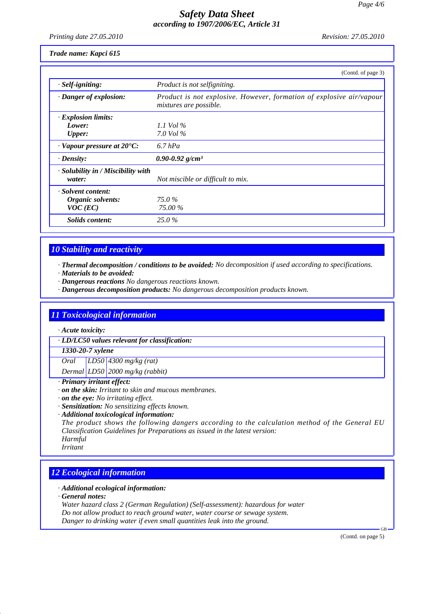*Printing date 27.05.2010 Revision: 27.05.2010*

*Trade name: Kapci 615*

|                                          | (Contd. of page 3)                                                                             |
|------------------------------------------|------------------------------------------------------------------------------------------------|
| $·$ <i>Self-igniting</i> :               | Product is not selfigniting.                                                                   |
| · Danger of explosion:                   | Product is not explosive. However, formation of explosive air/vapour<br>mixtures are possible. |
| · Explosion limits:                      |                                                                                                |
| Lower:                                   | 1.1 Vol $\%$                                                                                   |
| <b>Upper:</b>                            | 7.0 Vol $\%$                                                                                   |
| $\cdot$ Vapour pressure at 20 $\cdot$ C: | $6.7$ hPa                                                                                      |
| $\cdot$ Density:                         | $0.90 - 0.92$ g/cm <sup>3</sup>                                                                |
| $\cdot$ Solubility in / Miscibility with |                                                                                                |
| water:                                   | Not miscible or difficult to mix.                                                              |
| · Solvent content:                       |                                                                                                |
| Organic solvents:                        | 75.0 %                                                                                         |
| $VOC$ (EC)                               | 75.00 %                                                                                        |
| Solids content:                          | $25.0\%$                                                                                       |

## *10 Stability and reactivity*

*· Thermal decomposition / conditions to be avoided: No decomposition if used according to specifications.*

- *· Materials to be avoided:*
- *· Dangerous reactions No dangerous reactions known.*
- *· Dangerous decomposition products: No dangerous decomposition products known.*

## *11 Toxicological information*

*· Acute toxicity:*

*· LD/LC50 values relevant for classification:*

*1330-20-7 xylene*

*Oral LD50 4300 mg/kg (rat) Dermal LD50 2000 mg/kg (rabbit)*

- *· Primary irritant effect:*
- *· on the skin: Irritant to skin and mucous membranes.*
- *· on the eye: No irritating effect.*
- *· Sensitization: No sensitizing effects known.*
- *· Additional toxicological information:*

*The product shows the following dangers according to the calculation method of the General EU Classification Guidelines for Preparations as issued in the latest version: Harmful*

*Irritant*

# *12 Ecological information*

- *· Additional ecological information:*
- *· General notes:*

*Water hazard class 2 (German Regulation) (Self-assessment): hazardous for water Do not allow product to reach ground water, water course or sewage system. Danger to drinking water if even small quantities leak into the ground.*

(Contd. on page 5)

GB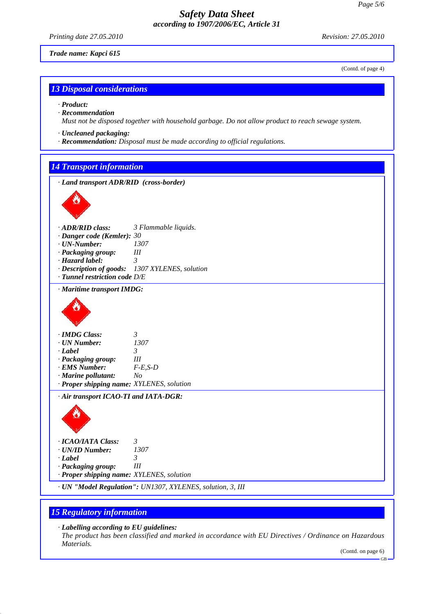*Printing date 27.05.2010 Revision: 27.05.2010*

*Trade name: Kapci 615*

(Contd. of page 4)

## *13 Disposal considerations*

*· Product:*

- *· Recommendation Must not be disposed together with household garbage. Do not allow product to reach sewage system.*
- *· Uncleaned packaging:*
- *· Recommendation: Disposal must be made according to official regulations.*

## *14 Transport information*



*· Air transport ICAO-TI and IATA-DGR:*



*· UN "Model Regulation": UN1307, XYLENES, solution, 3, III*

## *15 Regulatory information*

*· Labelling according to EU guidelines:*

*The product has been classified and marked in accordance with EU Directives / Ordinance on Hazardous Materials.*

(Contd. on page 6)

GB